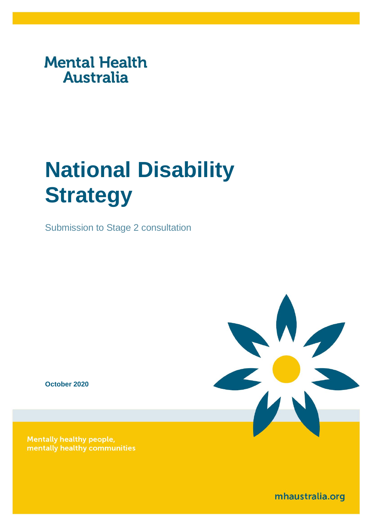**Mental Health Australia** 

# **National Disability Strategy**

Submission to Stage 2 consultation

**October 2020**





mhaustralia.org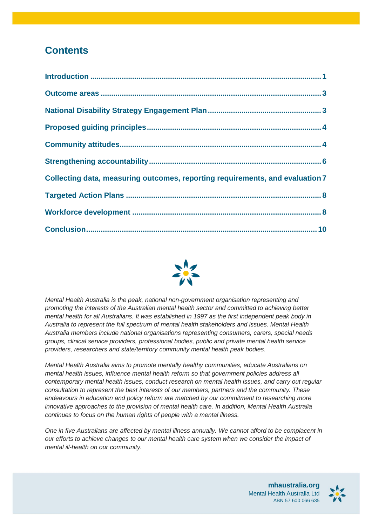## **Contents**

| Collecting data, measuring outcomes, reporting requirements, and evaluation 7 |  |
|-------------------------------------------------------------------------------|--|
|                                                                               |  |
|                                                                               |  |
|                                                                               |  |



*Mental Health Australia is the peak, national non-government organisation representing and promoting the interests of the Australian mental health sector and committed to achieving better mental health for all Australians. It was established in 1997 as the first independent peak body in Australia to represent the full spectrum of mental health stakeholders and issues. Mental Health Australia members include national organisations representing consumers, carers, special needs groups, clinical service providers, professional bodies, public and private mental health service providers, researchers and state/territory community mental health peak bodies.*

*Mental Health Australia aims to promote mentally healthy communities, educate Australians on mental health issues, influence mental health reform so that government policies address all contemporary mental health issues, conduct research on mental health issues, and carry out regular consultation to represent the best interests of our members, partners and the community. These endeavours in education and policy reform are matched by our commitment to researching more innovative approaches to the provision of mental health care. In addition, Mental Health Australia continues to focus on the human rights of people with a mental illness.*

*One in five Australians are affected by mental illness annually. We cannot afford to be complacent in our efforts to achieve changes to our mental health care system when we consider the impact of mental ill-health on our community.*

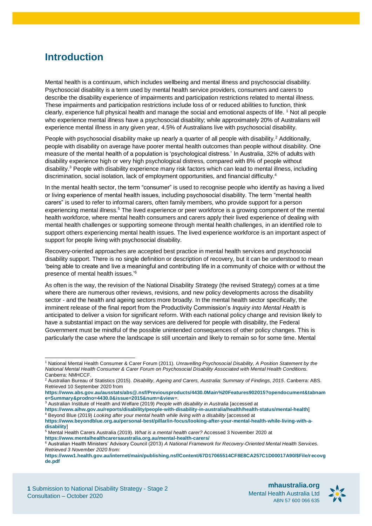## <span id="page-2-0"></span>**Introduction**

Mental health is a continuum, which includes wellbeing and mental illness and psychosocial disability. Psychosocial disability is a term used by mental health service providers, consumers and carers to describe the disability experience of impairments and participation restrictions related to mental illness. These impairments and participation restrictions include loss of or reduced abilities to function, think clearly, experience full physical health and manage the social and emotional aspects of life. <sup>1</sup> Not all people who experience mental illness have a psychosocial disability; while approximately 20% of Australians will experience mental illness in any given year, 4.5% of Australians live with psychosocial disability.

People with psychosocial disability make up nearly a quarter of all people with disability.<sup>2</sup> Additionally, people with disability on average have poorer mental health outcomes than people without disability. One measure of the mental health of a population is 'psychological distress.' In Australia, 32% of adults with disability experience high or very high psychological distress, compared with 8% of people without disability.<sup>3</sup> People with disability experience many risk factors which can lead to mental illness, including discrimination, social isolation, lack of employment opportunities, and financial difficulty.<sup>4</sup>

In the mental health sector, the term "consumer" is used to recognise people who identify as having a lived or living experience of mental health issues, including psychosocial disability. The term "mental health carers" is used to refer to informal carers, often family members, who provide support for a person experiencing mental illness.<sup>5</sup> The lived experience or peer workforce is a growing component of the mental health workforce, where mental health consumers and carers apply their lived experience of dealing with mental health challenges or supporting someone through mental health challenges, in an identified role to support others experiencing mental health issues. The lived experience workforce is an important aspect of support for people living with psychosocial disability.

Recovery-oriented approaches are accepted best practice in mental health services and psychosocial disability support. There is no single definition or description of recovery, but it can be understood to mean 'being able to create and live a meaningful and contributing life in a community of choice with or without the presence of mental health issues.' 6

As often is the way, the revision of the National Disability Strategy (the revised Strategy) comes at a time where there are numerous other reviews, revisions, and new policy developments across the disability sector - and the health and ageing sectors more broadly. In the mental health sector specifically, the imminent release of the final report from the Productivity Commission's *Inquiry into Mental Health* is anticipated to deliver a vision for significant reform. With each national policy change and revision likely to have a substantial impact on the way services are delivered for people with disability, the Federal Government must be mindful of the possible unintended consequences of other policy changes. This is particularly the case where the landscape is still uncertain and likely to remain so for some time. Mental

 $\overline{a}$ 



<sup>1</sup> National Mental Health Consumer & Carer Forum (2011). *Unravelling Psychosocial Disability, A Position Statement by the National Mental Health Consumer & Carer Forum on Psychosocial Disability Associated with Mental Health Conditions.* Canberra: NMHCCF.

<sup>2</sup> Australian Bureau of Statistics (2015). *Disability, Ageing and Carers, Australia: Summary of Findings, 2015*. Canberra: ABS. Retrieved 10 September 2020 from

**[https://www.abs.gov.au/ausstats/abs@.nsf/Previousproducts/4430.0Main%20Features902015?opendocument&tabnam](https://www.abs.gov.au/ausstats/abs@.nsf/Previousproducts/4430.0Main%20Features902015?opendocument&tabname=Summary&prodno=4430.0&issue=2015&num=&view) [e=Summary&prodno=4430.0&issue=2015&num=&view](https://www.abs.gov.au/ausstats/abs@.nsf/Previousproducts/4430.0Main%20Features902015?opendocument&tabname=Summary&prodno=4430.0&issue=2015&num=&view)**=.

<sup>3</sup> Australian Institute of Health and Welfare (2019) *People with disability in Australia* [accessed at **<https://www.aihw.gov.au/reports/disability/people-with-disability-in-australia/health/health-status/mental-health>**] <sup>4</sup> Beyond Blue (2019) *Looking after your mental health while living with a disability* [accessed at

**[https://www.beyondblue.org.au/personal-best/pillar/in-focus/looking-after-your-mental-health-while-living-with-a](https://www.beyondblue.org.au/personal-best/pillar/in-focus/looking-after-your-mental-health-while-living-with-a-disability)[disability](https://www.beyondblue.org.au/personal-best/pillar/in-focus/looking-after-your-mental-health-while-living-with-a-disability)**]

<sup>5</sup> Mental Health Carers Australia (2019). *What is a mental health carer?* Accessed 3 November 2020 at

**https://www.mentalhealthcarersaustralia.org.au/mental-health-carers/**

<sup>6</sup> Australian Health Ministers' Advisory Council (2013) *A National Framework for Recovery-Oriented Mental Health Services. Retrieved 3 November 2020 from:*

**https://www1.health.gov.au/internet/main/publishing.nsf/Content/67D17065514CF8E8CA257C1D00017A90/\$File/recovg de.pdf**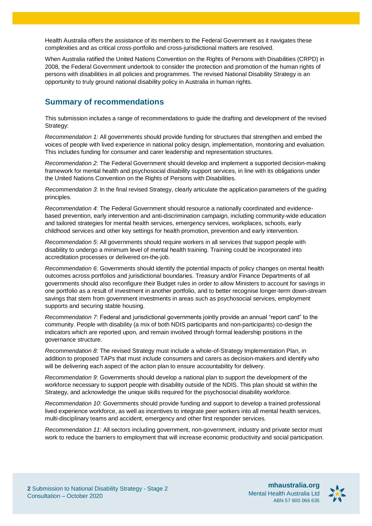Health Australia offers the assistance of its members to the Federal Government as it navigates these complexities and as critical cross-portfolio and cross-jurisdictional matters are resolved.

When Australia ratified the United Nations Convention on the Rights of Persons with Disabilities (CRPD) in 2008, the Federal Government undertook to consider the protection and promotion of the human rights of persons with disabilities in all policies and programmes. The revised National Disability Strategy is an opportunity to truly ground national disability policy in Australia in human rights.

#### **Summary of recommendations**

This submission includes a range of recommendations to guide the drafting and development of the revised Strategy:

*Recommendation 1:* All governments should provide funding for structures that strengthen and embed the voices of people with lived experience in national policy design, implementation, monitoring and evaluation. This includes funding for consumer and carer leadership and representation structures.

*Recommendation 2:* The Federal Government should develop and implement a supported decision-making framework for mental health and psychosocial disability support services, in line with its obligations under the United Nations Convention on the Rights of Persons with Disabilities.

*Recommendation 3*: In the final revised Strategy, clearly articulate the application parameters of the guiding principles.

*Recommendation 4*: The Federal Government should resource a nationally coordinated and evidencebased prevention, early intervention and anti-discrimination campaign, including community-wide education and tailored strategies for mental health services, emergency services, workplaces, schools, early childhood services and other key settings for health promotion, prevention and early intervention.

*Recommendation 5*: All governments should require workers in all services that support people with disability to undergo a minimum level of mental health training. Training could be incorporated into accreditation processes or delivered on-the-job.

*Recommendation 6*: Governments should identify the potential impacts of policy changes on mental health outcomes across portfolios and jurisdictional boundaries. Treasury and/or Finance Departments of all governments should also reconfigure their Budget rules in order to allow Ministers to account for savings in one portfolio as a result of investment in another portfolio, and to better recognise longer-term down-stream savings that stem from government investments in areas such as psychosocial services, employment supports and securing stable housing.

*Recommendation 7*: Federal and jurisdictional governments jointly provide an annual "report card" to the community. People with disability (a mix of both NDIS participants and non-participants) co-design the indicators which are reported upon, and remain involved through formal leadership positions in the governance structure.

*Recommendation 8*: The revised Strategy must include a whole-of-Strategy Implementation Plan, in addition to proposed TAPs that must include consumers and carers as decision-makers and identify who will be delivering each aspect of the action plan to ensure accountability for delivery.

*Recommendation 9*: Governments should develop a national plan to support the development of the workforce necessary to support people with disability outside of the NDIS. This plan should sit within the Strategy, and acknowledge the unique skills required for the psychosocial disability workforce.

*Recommendation 10*: Governments should provide funding and support to develop a trained professional lived experience workforce, as well as incentives to integrate peer workers into all mental health services, multi-disciplinary teams and accident, emergency and other first responder services.

*Recommendation 11*: All sectors including government, non-government, industry and private sector must work to reduce the barriers to employment that will increase economic productivity and social participation.

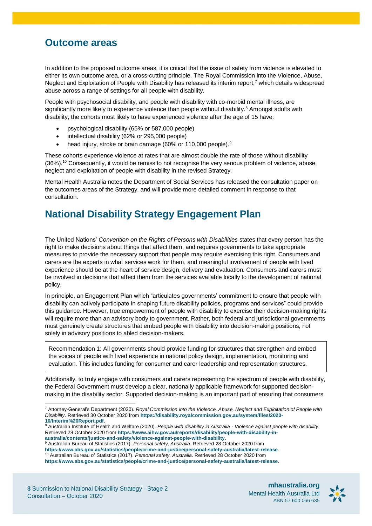### <span id="page-4-0"></span>**Outcome areas**

In addition to the proposed outcome areas, it is critical that the issue of safety from violence is elevated to either its own outcome area, or a cross-cutting principle. The Royal Commission into the Violence, Abuse, Neglect and Exploitation of People with Disability has released its interim report,<sup>7</sup> which details widespread abuse across a range of settings for all people with disability.

People with psychosocial disability, and people with disability with co-morbid mental illness, are significantly more likely to experience violence than people without disability.<sup>8</sup> Amongst adults with disability, the cohorts most likely to have experienced violence after the age of 15 have:

- psychological disability (65% or 587,000 people)
- intellectual disability (62% or 295,000 people)
- head injury, stroke or brain damage (60% or 110,000 people). $9$

These cohorts experience violence at rates that are almost double the rate of those without disability  $(36\%)$ .<sup>10</sup> Consequently, it would be remiss to not recognise the very serious problem of violence, abuse, neglect and exploitation of people with disability in the revised Strategy.

Mental Health Australia notes the Department of Social Services has released the consultation paper on the outcomes areas of the Strategy, and will provide more detailed comment in response to that consultation.

## <span id="page-4-1"></span>**National Disability Strategy Engagement Plan**

The United Nations' *Convention on the Rights of Persons with Disabilities* states that every person has the right to make decisions about things that affect them, and requires governments to take appropriate measures to provide the necessary support that people may require exercising this right. Consumers and carers are the experts in what services work for them, and meaningful involvement of people with lived experience should be at the heart of service design, delivery and evaluation. Consumers and carers must be involved in decisions that affect them from the services available locally to the development of national policy.

In principle, an Engagement Plan which "articulates governments' commitment to ensure that people with disability can actively participate in shaping future disability policies, programs and services" could provide this guidance. However, true empowerment of people with disability to exercise their decision-making rights will require more than an advisory body to government. Rather, both federal and jurisdictional governments must genuinely create structures that embed people with disability into decision-making positions, not solely in advisory positions to abled decision-makers.

Recommendation 1: All governments should provide funding for structures that strengthen and embed the voices of people with lived experience in national policy design, implementation, monitoring and evaluation. This includes funding for consumer and carer leadership and representation structures.

Additionally, to truly engage with consumers and carers representing the spectrum of people with disability, the Federal Government must develop a clear, nationally applicable framework for supported decisionmaking in the disability sector. Supported decision-making is an important part of ensuring that consumers

- <sup>8</sup> Australian Institute of Health and Welfare (2020). *People with disability in Australia - Violence against people with disability.* Retrieved 28 October 2020 from **[https://www.aihw.gov.au/reports/disability/people-with-disability-in-](https://www.aihw.gov.au/reports/disability/people-with-disability-in-australia/contents/justice-and-safety/violence-against-people-with-disability)**
- **[australia/contents/justice-and-safety/violence-against-people-with-disability](https://www.aihw.gov.au/reports/disability/people-with-disability-in-australia/contents/justice-and-safety/violence-against-people-with-disability)**.
- <sup>9</sup> Australian Bureau of Statistics (2017). *Personal safety, Australia*. Retrieved 28 October 2020 from **<https://www.abs.gov.au/statistics/people/crime-and-justice/personal-safety-australia/latest-release>**. <sup>10</sup> Australian Bureau of Statistics (2017). *Personal safety, Australia*. Retrieved 28 October 2020 from

l

**mhaustralia.org** Mental Health Australia Ltd ABN 57 600 066 635



<sup>7</sup> Attorney-General's Department (2020). *Royal Commission into the Violence, Abuse, Neglect and Exploitation of People with Disability.* Retrieved 30 October 2020 from **[https://disability.royalcommission.gov.au/system/files/2020-](https://disability.royalcommission.gov.au/system/files/2020-10/Interim%20Report.pdf) [10/Interim%20Report.pdf](https://disability.royalcommission.gov.au/system/files/2020-10/Interim%20Report.pdf)**.

**<https://www.abs.gov.au/statistics/people/crime-and-justice/personal-safety-australia/latest-release>**.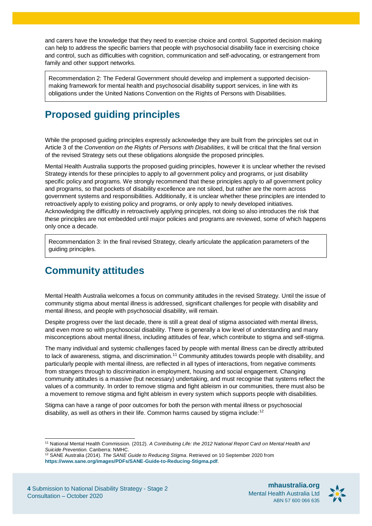and carers have the knowledge that they need to exercise choice and control. Supported decision making can help to address the specific barriers that people with psychosocial disability face in exercising choice and control, such as difficulties with cognition, communication and self-advocating, or estrangement from family and other support networks.

Recommendation 2: The Federal Government should develop and implement a supported decisionmaking framework for mental health and psychosocial disability support services, in line with its obligations under the United Nations Convention on the Rights of Persons with Disabilities.

## <span id="page-5-0"></span>**Proposed guiding principles**

While the proposed guiding principles expressly acknowledge they are built from the principles set out in Article 3 of the *Convention on the Rights of Persons with Disabilities,* it will be critical that the final version of the revised Strategy sets out these obligations alongside the proposed principles.

Mental Health Australia supports the proposed guiding principles, however it is unclear whether the revised Strategy intends for these principles to apply to *all* government policy and programs, or just disability specific policy and programs. We strongly recommend that these principles apply to *all* government policy and programs, so that pockets of disability excellence are not siloed, but rather are the norm across government systems and responsibilities. Additionally, it is unclear whether these principles are intended to retroactively apply to existing policy and programs, or only apply to newly developed initiatives. Acknowledging the difficultly in retroactively applying principles, not doing so also introduces the risk that these principles are not embedded until major policies and programs are reviewed, some of which happens only once a decade.

Recommendation 3: In the final revised Strategy, clearly articulate the application parameters of the guiding principles.

## <span id="page-5-1"></span>**Community attitudes**

Mental Health Australia welcomes a focus on community attitudes in the revised Strategy. Until the issue of community stigma about mental illness is addressed, significant challenges for people with disability and mental illness, and people with psychosocial disability, will remain.

Despite progress over the last decade, there is still a great deal of stigma associated with mental illness, and even more so with psychosocial disability. There is generally a low level of understanding and many misconceptions about mental illness, including attitudes of fear, which contribute to stigma and self-stigma.

The many individual and systemic challenges faced by people with mental illness can be directly attributed to lack of awareness, stigma, and discrimination.<sup>11</sup> Community attitudes towards people with disability, and particularly people with mental illness, are reflected in all types of interactions, from negative comments from strangers through to discrimination in employment, housing and social engagement. Changing community attitudes is a massive (but necessary) undertaking, and must recognise that systems reflect the values of a community. In order to remove stigma and fight ableism in our communities, there must also be a movement to remove stigma and fight ableism in every system which supports people with disabilities.

Stigma can have a range of poor outcomes for both the person with mental illness or psychosocial disability, as well as others in their life. Common harms caused by stigma include:<sup>12</sup>

l



<sup>&</sup>lt;sup>11</sup> National Mental Health Commission. (2012). A Contributing Life: the 2012 National Report Card on Mental Health and *Suicide Prevention.* Canberra: NMHC.

<sup>12</sup> SANE Australia (2014). *The SANE Guide to Reducing Stigma*. Retrieved on 10 September 2020 from **<https://www.sane.org/images/PDFs/SANE-Guide-to-Reducing-Stigma.pdf>**.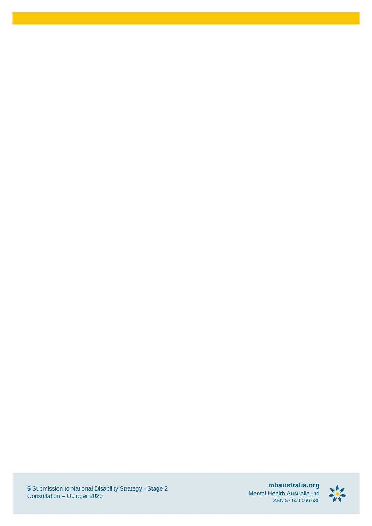**5** Submission to National Disability Strategy - Stage 2 Consultation – October 2020

**mhaustralia.org** Mental Health Australia Ltd ABN 57 600 066 635

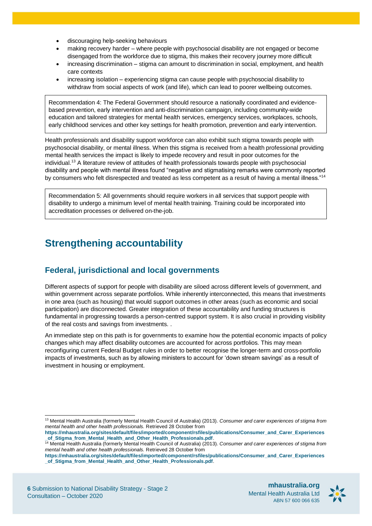- discouraging help-seeking behaviours
- making recovery harder where people with psychosocial disability are not engaged or become disengaged from the workforce due to stigma, this makes their recovery journey more difficult
- increasing discrimination stigma can amount to discrimination in social, employment, and health care contexts
- increasing isolation experiencing stigma can cause people with psychosocial disability to withdraw from social aspects of work (and life), which can lead to poorer wellbeing outcomes.

Recommendation 4: The Federal Government should resource a nationally coordinated and evidencebased prevention, early intervention and anti-discrimination campaign, including community-wide education and tailored strategies for mental health services, emergency services, workplaces, schools, early childhood services and other key settings for health promotion, prevention and early intervention.

Health professionals and disability support workforce can also exhibit such stigma towards people with psychosocial disability, or mental illness. When this stigma is received from a health professional providing mental health services the impact is likely to impede recovery and result in poor outcomes for the individual.<sup>13</sup> A literature review of attitudes of health professionals towards people with psychosocial disability and people with mental illness found "negative and stigmatising remarks were commonly reported by consumers who felt disrespected and treated as less competent as a result of having a mental illness."14

Recommendation 5: All governments should require workers in all services that support people with disability to undergo a minimum level of mental health training. Training could be incorporated into accreditation processes or delivered on-the-job.

## <span id="page-7-0"></span>**Strengthening accountability**

#### **Federal, jurisdictional and local governments**

Different aspects of support for people with disability are siloed across different levels of government, and within government across separate portfolios. While inherently interconnected, this means that investments in one area (such as housing) that would support outcomes in other areas (such as economic and social participation) are disconnected. Greater integration of these accountability and funding structures is fundamental in progressing towards a person-centred support system. It is also crucial in providing visibility of the real costs and savings from investments. .

An immediate step on this path is for governments to examine how the potential economic impacts of policy changes which may affect disability outcomes are accounted for across portfolios. This may mean reconfiguring current Federal Budget rules in order to better recognise the longer-term and cross-portfolio impacts of investments, such as by allowing ministers to account for 'down stream savings' as a result of investment in housing or employment.

 $\overline{a}$ 



<sup>13</sup> Mental Health Australia (formerly Mental Health Council of Australia) (2013). *Consumer and carer experiences of stigma from mental health and other health professionals.* Retrieved 28 October from

**[https://mhaustralia.org/sites/default/files/imported/component/rsfiles/publications/Consumer\\_and\\_Carer\\_Experiences](https://mhaustralia.org/sites/default/files/imported/component/rsfiles/publications/Consumer_and_Carer_Experiences_of_Stigma_from_Mental_Health_and_Other_Health_Professionals.pdf) [\\_of\\_Stigma\\_from\\_Mental\\_Health\\_and\\_Other\\_Health\\_Professionals.pdf](https://mhaustralia.org/sites/default/files/imported/component/rsfiles/publications/Consumer_and_Carer_Experiences_of_Stigma_from_Mental_Health_and_Other_Health_Professionals.pdf)**.

<sup>14</sup> Mental Health Australia (formerly Mental Health Council of Australia) (2013). *Consumer and carer experiences of stigma from mental health and other health professionals.* Retrieved 28 October from

**[https://mhaustralia.org/sites/default/files/imported/component/rsfiles/publications/Consumer\\_and\\_Carer\\_Experiences](https://mhaustralia.org/sites/default/files/imported/component/rsfiles/publications/Consumer_and_Carer_Experiences_of_Stigma_from_Mental_Health_and_Other_Health_Professionals.pdf) [\\_of\\_Stigma\\_from\\_Mental\\_Health\\_and\\_Other\\_Health\\_Professionals.pdf](https://mhaustralia.org/sites/default/files/imported/component/rsfiles/publications/Consumer_and_Carer_Experiences_of_Stigma_from_Mental_Health_and_Other_Health_Professionals.pdf)**.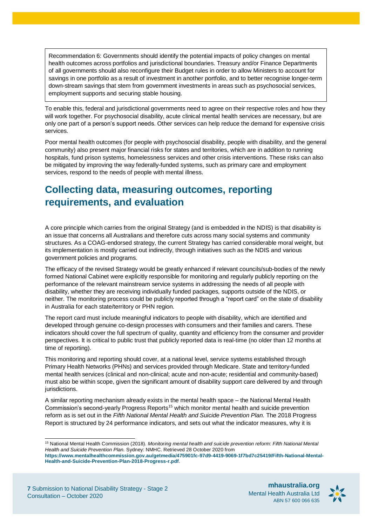Recommendation 6: Governments should identify the potential impacts of policy changes on mental health outcomes across portfolios and jurisdictional boundaries. Treasury and/or Finance Departments of all governments should also reconfigure their Budget rules in order to allow Ministers to account for savings in one portfolio as a result of investment in another portfolio, and to better recognise longer-term down-stream savings that stem from government investments in areas such as psychosocial services, employment supports and securing stable housing.

To enable this, federal and jurisdictional governments need to agree on their respective roles and how they will work together. For psychosocial disability, acute clinical mental health services are necessary, but are only one part of a person's support needs. Other services can help reduce the demand for expensive crisis services.

Poor mental health outcomes (for people with psychosocial disability, people with disability, and the general community) also present major financial risks for states and territories, which are in addition to running hospitals, fund prison systems, homelessness services and other crisis interventions. These risks can also be mitigated by improving the way federally-funded systems, such as primary care and employment services, respond to the needs of people with mental illness.

## <span id="page-8-0"></span>**Collecting data, measuring outcomes, reporting requirements, and evaluation**

A core principle which carries from the original Strategy (and is embedded in the NDIS) is that disability is an issue that concerns all Australians and therefore cuts across many social systems and community structures. As a COAG-endorsed strategy, the current Strategy has carried considerable moral weight, but its implementation is mostly carried out indirectly, through initiatives such as the NDIS and various government policies and programs.

The efficacy of the revised Strategy would be greatly enhanced if relevant councils/sub-bodies of the newly formed National Cabinet were explicitly responsible for monitoring and regularly publicly reporting on the performance of the relevant mainstream service systems in addressing the needs of all people with disability, whether they are receiving individually funded packages, supports outside of the NDIS, or neither. The monitoring process could be publicly reported through a "report card" on the state of disability in Australia for each state/territory or PHN region.

The report card must include meaningful indicators to people with disability, which are identified and developed through genuine co-design processes with consumers and their families and carers. These indicators should cover the full spectrum of quality, quantity and efficiency from the consumer and provider perspectives. It is critical to public trust that publicly reported data is real-time (no older than 12 months at time of reporting).

This monitoring and reporting should cover, at a national level, service systems established through Primary Health Networks (PHNs) and services provided through Medicare. State and territory-funded mental health services (clinical and non-clinical; acute and non-acute; residential and community-based) must also be within scope, given the significant amount of disability support care delivered by and through jurisdictions.

A similar reporting mechanism already exists in the mental health space – the National Mental Health Commission's second-yearly Progress Reports<sup>15</sup> which monitor mental health and suicide prevention reform as is set out in the *Fifth National Mental Health and Suicide Prevention Plan.* The 2018 Progress Report is structured by 24 performance indicators, and sets out what the indicator measures, why it is



l <sup>15</sup> National Mental Health Commission (2018). *Monitoring mental health and suicide prevention reform: Fifth National Mental Health and Suicide Prevention Plan.* Sydney: NMHC. Retrieved 28 October 2020 from

**[https://www.mentalhealthcommission.gov.au/getmedia/475901fc-97d9-4419-9069-1f7bd7c25419/Fifth-National-Mental-](https://www.mentalhealthcommission.gov.au/getmedia/475901fc-97d9-4419-9069-1f7bd7c25419/Fifth-National-Mental-Health-and-Suicide-Prevention-Plan-2018-Progress-r.pdf)[Health-and-Suicide-Prevention-Plan-2018-Progress-r.pdf](https://www.mentalhealthcommission.gov.au/getmedia/475901fc-97d9-4419-9069-1f7bd7c25419/Fifth-National-Mental-Health-and-Suicide-Prevention-Plan-2018-Progress-r.pdf)**.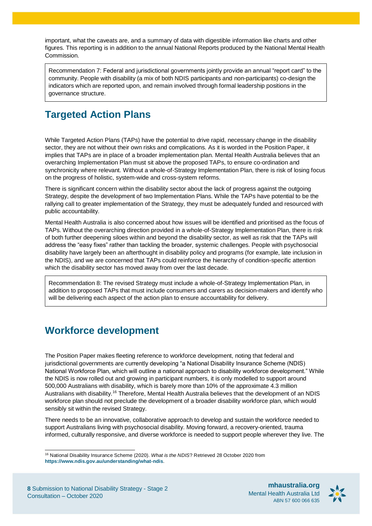important, what the caveats are, and a summary of data with digestible information like charts and other figures. This reporting is in addition to the annual National Reports produced by the National Mental Health Commission.

Recommendation 7: Federal and jurisdictional governments jointly provide an annual "report card" to the community. People with disability (a mix of both NDIS participants and non-participants) co-design the indicators which are reported upon, and remain involved through formal leadership positions in the governance structure.

## <span id="page-9-0"></span>**Targeted Action Plans**

While Targeted Action Plans (TAPs) have the potential to drive rapid, necessary change in the disability sector, they are not without their own risks and complications. As it is worded in the Position Paper, it implies that TAPs are in place of a broader implementation plan. Mental Health Australia believes that an overarching Implementation Plan must sit above the proposed TAPs, to ensure co-ordination and synchronicity where relevant. Without a whole-of-Strategy Implementation Plan, there is risk of losing focus on the progress of holistic, system-wide and cross-system reforms.

There is significant concern within the disability sector about the lack of progress against the outgoing Strategy, despite the development of two Implementation Plans. While the TAPs have potential to be the rallying call to greater implementation of the Strategy, they must be adequately funded and resourced with public accountability.

Mental Health Australia is also concerned about how issues will be identified and prioritised as the focus of TAPs. Without the overarching direction provided in a whole-of-Strategy Implementation Plan, there is risk of both further deepening siloes within and beyond the disability sector, as well as risk that the TAPs will address the "easy fixes" rather than tackling the broader, systemic challenges. People with psychosocial disability have largely been an afterthought in disability policy and programs (for example, late inclusion in the NDIS), and we are concerned that TAPs could reinforce the hierarchy of condition-specific attention which the disability sector has moved away from over the last decade.

Recommendation 8: The revised Strategy must include a whole-of-Strategy Implementation Plan, in addition to proposed TAPs that must include consumers and carers as decision-makers and identify who will be delivering each aspect of the action plan to ensure accountability for delivery.

## <span id="page-9-1"></span>**Workforce development**

The Position Paper makes fleeting reference to workforce development, noting that federal and jurisdictional governments are currently developing "a National Disability Insurance Scheme (NDIS) National Workforce Plan, which will outline a national approach to disability workforce development." While the NDIS is now rolled out and growing in participant numbers, it is only modelled to support around 500,000 Australians with disability, which is barely more than 10% of the approximate 4.3 million Australians with disability.<sup>16</sup> Therefore, Mental Health Australia believes that the development of an NDIS workforce plan should not preclude the development of a broader disability workforce plan, which would sensibly sit within the revised Strategy.

There needs to be an innovative, collaborative approach to develop and sustain the workforce needed to support Australians living with psychosocial disability. Moving forward, a recovery-oriented, trauma informed, culturally responsive, and diverse workforce is needed to support people wherever they live. The



 $\overline{a}$ <sup>16</sup> National Disability Insurance Scheme (2020). *What is the NDIS*? Retrieved 28 October 2020 from **<https://www.ndis.gov.au/understanding/what-ndis>**.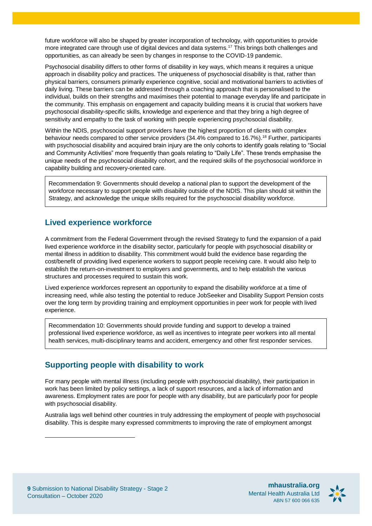future workforce will also be shaped by greater incorporation of technology, with opportunities to provide more integrated care through use of digital devices and data systems.<sup>17</sup> This brings both challenges and opportunities, as can already be seen by changes in response to the COVID-19 pandemic.

Psychosocial disability differs to other forms of disability in key ways, which means it requires a unique approach in disability policy and practices. The uniqueness of psychosocial disability is that, rather than physical barriers, consumers primarily experience cognitive, social and motivational barriers to activities of daily living. These barriers can be addressed through a coaching approach that is personalised to the individual, builds on their strengths and maximises their potential to manage everyday life and participate in the community. This emphasis on engagement and capacity building means it is crucial that workers have psychosocial disability-specific skills, knowledge and experience and that they bring a high degree of sensitivity and empathy to the task of working with people experiencing psychosocial disability.

Within the NDIS, psychosocial support providers have the highest proportion of clients with complex behaviour needs compared to other service providers (34.4% compared to 16.7%).<sup>18</sup> Further, participants with psychosocial disability and acquired brain injury are the only cohorts to identify goals relating to "Social and Community Activities" more frequently than goals relating to "Daily Life". These trends emphasise the unique needs of the psychosocial disability cohort, and the required skills of the psychosocial workforce in capability building and recovery-oriented care.

Recommendation 9: Governments should develop a national plan to support the development of the workforce necessary to support people with disability outside of the NDIS. This plan should sit within the Strategy, and acknowledge the unique skills required for the psychosocial disability workforce.

#### **Lived experience workforce**

A commitment from the Federal Government through the revised Strategy to fund the expansion of a paid lived experience workforce in the disability sector, particularly for people with psychosocial disability or mental illness in addition to disability. This commitment would build the evidence base regarding the cost/benefit of providing lived experience workers to support people receiving care. It would also help to establish the return-on-investment to employers and governments, and to help establish the various structures and processes required to sustain this work.

Lived experience workforces represent an opportunity to expand the disability workforce at a time of increasing need, while also testing the potential to reduce JobSeeker and Disability Support Pension costs over the long term by providing training and employment opportunities in peer work for people with lived experience.

Recommendation 10: Governments should provide funding and support to develop a trained professional lived experience workforce, as well as incentives to integrate peer workers into all mental health services, multi-disciplinary teams and accident, emergency and other first responder services.

#### **Supporting people with disability to work**

For many people with mental illness (including people with psychosocial disability), their participation in work has been limited by policy settings, a lack of support resources, and a lack of information and awareness. Employment rates are poor for people with any disability, but are particularly poor for people with psychosocial disability.

Australia lags well behind other countries in truly addressing the employment of people with psychosocial disability. This is despite many expressed commitments to improving the rate of employment amongst

 $\overline{a}$ 

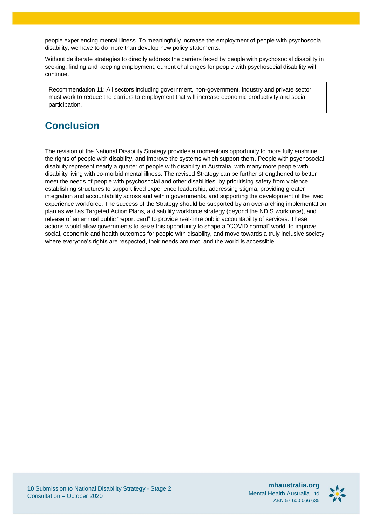people experiencing mental illness. To meaningfully increase the employment of people with psychosocial disability, we have to do more than develop new policy statements.

Without deliberate strategies to directly address the barriers faced by people with psychosocial disability in seeking, finding and keeping employment, current challenges for people with psychosocial disability will continue.

Recommendation 11: All sectors including government, non-government, industry and private sector must work to reduce the barriers to employment that will increase economic productivity and social participation.

# <span id="page-11-0"></span>**Conclusion**

The revision of the National Disability Strategy provides a momentous opportunity to more fully enshrine the rights of people with disability, and improve the systems which support them. People with psychosocial disability represent nearly a quarter of people with disability in Australia, with many more people with disability living with co-morbid mental illness. The revised Strategy can be further strengthened to better meet the needs of people with psychosocial and other disabilities, by prioritising safety from violence, establishing structures to support lived experience leadership, addressing stigma, providing greater integration and accountability across and within governments, and supporting the development of the lived experience workforce. The success of the Strategy should be supported by an over-arching implementation plan as well as Targeted Action Plans, a disability workforce strategy (beyond the NDIS workforce), and release of an annual public "report card" to provide real-time public accountability of services. These actions would allow governments to seize this opportunity to shape a "COVID normal" world, to improve social, economic and health outcomes for people with disability, and move towards a truly inclusive society where everyone's rights are respected, their needs are met, and the world is accessible.